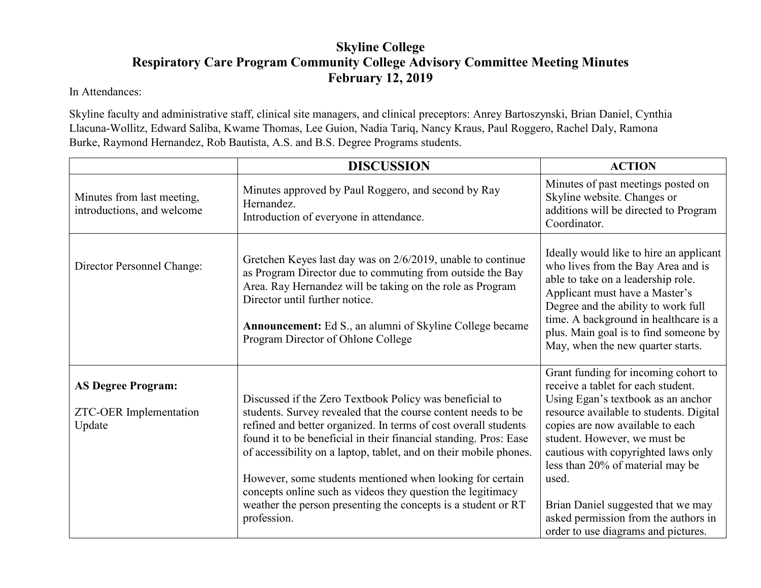## **Skyline College Respiratory Care Program Community College Advisory Committee Meeting Minutes February 12, 2019**

In Attendances:

Skyline faculty and administrative staff, clinical site managers, and clinical preceptors: Anrey Bartoszynski, Brian Daniel, Cynthia Llacuna-Wollitz, Edward Saliba, Kwame Thomas, Lee Guion, Nadia Tariq, Nancy Kraus, Paul Roggero, Rachel Daly, Ramona Burke, Raymond Hernandez, Rob Bautista, A.S. and B.S. Degree Programs students.

|                                                               | <b>DISCUSSION</b>                                                                                                                                                                                                                                                                                                                                                                                                                                                                                                                                 | <b>ACTION</b>                                                                                                                                                                                                                                                                                                                                                                                                                            |
|---------------------------------------------------------------|---------------------------------------------------------------------------------------------------------------------------------------------------------------------------------------------------------------------------------------------------------------------------------------------------------------------------------------------------------------------------------------------------------------------------------------------------------------------------------------------------------------------------------------------------|------------------------------------------------------------------------------------------------------------------------------------------------------------------------------------------------------------------------------------------------------------------------------------------------------------------------------------------------------------------------------------------------------------------------------------------|
| Minutes from last meeting,<br>introductions, and welcome      | Minutes approved by Paul Roggero, and second by Ray<br>Hernandez.<br>Introduction of everyone in attendance.                                                                                                                                                                                                                                                                                                                                                                                                                                      | Minutes of past meetings posted on<br>Skyline website. Changes or<br>additions will be directed to Program<br>Coordinator.                                                                                                                                                                                                                                                                                                               |
| Director Personnel Change:                                    | Gretchen Keyes last day was on 2/6/2019, unable to continue<br>as Program Director due to commuting from outside the Bay<br>Area. Ray Hernandez will be taking on the role as Program<br>Director until further notice.<br><b>Announcement:</b> Ed S., an alumni of Skyline College became<br>Program Director of Ohlone College                                                                                                                                                                                                                  | Ideally would like to hire an applicant<br>who lives from the Bay Area and is<br>able to take on a leadership role.<br>Applicant must have a Master's<br>Degree and the ability to work full<br>time. A background in healthcare is a<br>plus. Main goal is to find someone by<br>May, when the new quarter starts.                                                                                                                      |
| <b>AS Degree Program:</b><br>ZTC-OER Implementation<br>Update | Discussed if the Zero Textbook Policy was beneficial to<br>students. Survey revealed that the course content needs to be<br>refined and better organized. In terms of cost overall students<br>found it to be beneficial in their financial standing. Pros: Ease<br>of accessibility on a laptop, tablet, and on their mobile phones.<br>However, some students mentioned when looking for certain<br>concepts online such as videos they question the legitimacy<br>weather the person presenting the concepts is a student or RT<br>profession. | Grant funding for incoming cohort to<br>receive a tablet for each student.<br>Using Egan's textbook as an anchor<br>resource available to students. Digital<br>copies are now available to each<br>student. However, we must be<br>cautious with copyrighted laws only<br>less than 20% of material may be<br>used.<br>Brian Daniel suggested that we may<br>asked permission from the authors in<br>order to use diagrams and pictures. |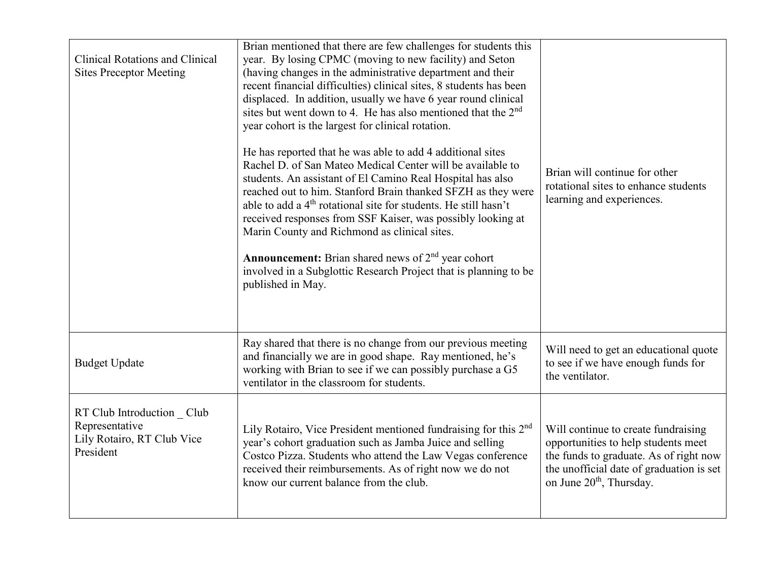| <b>Clinical Rotations and Clinical</b><br><b>Sites Preceptor Meeting</b>               | Brian mentioned that there are few challenges for students this<br>year. By losing CPMC (moving to new facility) and Seton<br>(having changes in the administrative department and their<br>recent financial difficulties) clinical sites, 8 students has been<br>displaced. In addition, usually we have 6 year round clinical<br>sites but went down to 4. He has also mentioned that the 2 <sup>nd</sup><br>year cohort is the largest for clinical rotation.<br>He has reported that he was able to add 4 additional sites<br>Rachel D. of San Mateo Medical Center will be available to<br>students. An assistant of El Camino Real Hospital has also<br>reached out to him. Stanford Brain thanked SFZH as they were<br>able to add a 4 <sup>th</sup> rotational site for students. He still hasn't<br>received responses from SSF Kaiser, was possibly looking at<br>Marin County and Richmond as clinical sites.<br><b>Announcement:</b> Brian shared news of $2nd$ year cohort<br>involved in a Subglottic Research Project that is planning to be<br>published in May. | Brian will continue for other<br>rotational sites to enhance students<br>learning and experiences.                                                                                                       |
|----------------------------------------------------------------------------------------|----------------------------------------------------------------------------------------------------------------------------------------------------------------------------------------------------------------------------------------------------------------------------------------------------------------------------------------------------------------------------------------------------------------------------------------------------------------------------------------------------------------------------------------------------------------------------------------------------------------------------------------------------------------------------------------------------------------------------------------------------------------------------------------------------------------------------------------------------------------------------------------------------------------------------------------------------------------------------------------------------------------------------------------------------------------------------------|----------------------------------------------------------------------------------------------------------------------------------------------------------------------------------------------------------|
| <b>Budget Update</b>                                                                   | Ray shared that there is no change from our previous meeting<br>and financially we are in good shape. Ray mentioned, he's<br>working with Brian to see if we can possibly purchase a G5<br>ventilator in the classroom for students.                                                                                                                                                                                                                                                                                                                                                                                                                                                                                                                                                                                                                                                                                                                                                                                                                                             | Will need to get an educational quote<br>to see if we have enough funds for<br>the ventilator.                                                                                                           |
| RT Club Introduction Club<br>Representative<br>Lily Rotairo, RT Club Vice<br>President | Lily Rotairo, Vice President mentioned fundraising for this 2nd<br>year's cohort graduation such as Jamba Juice and selling<br>Costco Pizza. Students who attend the Law Vegas conference<br>received their reimbursements. As of right now we do not<br>know our current balance from the club.                                                                                                                                                                                                                                                                                                                                                                                                                                                                                                                                                                                                                                                                                                                                                                                 | Will continue to create fundraising<br>opportunities to help students meet<br>the funds to graduate. As of right now<br>the unofficial date of graduation is set<br>on June 20 <sup>th</sup> , Thursday. |